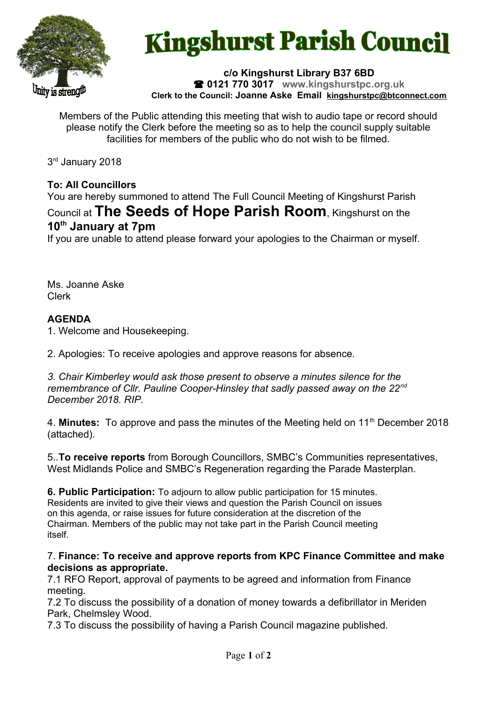

# **Kingshurst Parish Council**

**c/o Kingshurst Library B37 6BD 0121 770 3017 www.kingshurstpc.org.uk Clerk to the Council: Joanne Aske Email [kingshurstpc@btconnect.com](mailto:kingshurstpc@btconnect.com)**

Members of the Public attending this meeting that wish to audio tape or record should please notify the Clerk before the meeting so as to help the council supply suitable facilities for members of the public who do not wish to be filmed.

3 rd January 2018

## **To: All Councillors**

You are hereby summoned to attend The Full Council Meeting of Kingshurst Parish Council at **The Seeds of Hope Parish Room**, Kingshurst on the **10th January at 7pm**

If you are unable to attend please forward your apologies to the Chairman or myself.

Ms. Joanne Aske Clerk

## **AGENDA**

1. Welcome and Housekeeping.

2. Apologies: To receive apologies and approve reasons for absence.

*3. Chair Kimberley would ask those present to observe a minutes silence for the remembrance of Cllr. Pauline Cooper-Hinsley that sadly passed away on the 22nd December 2018. RIP.*

4. **Minutes:** To approve and pass the minutes of the Meeting held on 11th December 2018 (attached).

5..**To receive reports** from Borough Councillors, SMBC's Communities representatives, West Midlands Police and SMBC's Regeneration regarding the Parade Masterplan.

**6. Public Participation:** To adjourn to allow public participation for 15 minutes. Residents are invited to give their views and question the Parish Council on issues on this agenda, or raise issues for future consideration at the discretion of the Chairman. Members of the public may not take part in the Parish Council meeting itself.

#### 7. **Finance: To receive and approve reports from KPC Finance Committee and make decisions as appropriate.**

7.1 RFO Report, approval of payments to be agreed and information from Finance meeting.

7.2 To discuss the possibility of a donation of money towards a defibrillator in Meriden Park, Chelmsley Wood.

7.3 To discuss the possibility of having a Parish Council magazine published.